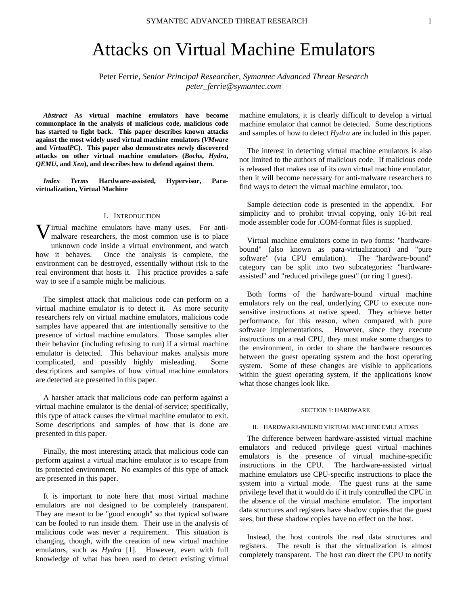# Attacks on Virtual Machine Emulators

Peter Ferrie, *Senior Principal Researcher, Symantec Advanced Threat Research peter\_ferrie@symantec.com* 

*Abstract* **As virtual machine emulators have become commonplace in the analysis of malicious code, malicious code has started to fight back. This paper describes known attacks against the most widely used virtual machine emulators (***VMware* **and** *VirtualPC***). This paper also demonstrates newly discovered attacks on other virtual machine emulators (***Bochs***,** *Hydra***,**  *QEMU***, and** *Xen***), and describes how to defend against them.** 

*Index Terms* **Hardware-assisted, Hypervisor, Paravirtualization, Virtual Machine** 

### I. INTRODUCTION

**V** irtual machine emulators have many uses. For anti-<br>malware researchers, the most common use is to place malware researchers, the most common use is to place unknown code inside a virtual environment, and watch how it behaves. Once the analysis is complete, the environment can be destroyed, essentially without risk to the real environment that hosts it. This practice provides a safe way to see if a sample might be malicious.

The simplest attack that malicious code can perform on a virtual machine emulator is to detect it. As more security researchers rely on virtual machine emulators, malicious code samples have appeared that are intentionally sensitive to the presence of virtual machine emulators. Those samples alter their behavior (including refusing to run) if a virtual machine emulator is detected. This behaviour makes analysis more complicated, and possibly highly misleading. Some descriptions and samples of how virtual machine emulators are detected are presented in this paper.

A harsher attack that malicious code can perform against a virtual machine emulator is the denial-of-service; specifically, this type of attack causes the virtual machine emulator to exit. Some descriptions and samples of how that is done are presented in this paper.

Finally, the most interesting attack that malicious code can perform against a virtual machine emulator is to escape from its protected environment. No examples of this type of attack are presented in this paper.

It is important to note here that most virtual machine emulators are not designed to be completely transparent. They are meant to be "good enough" so that typical software can be fooled to run inside them. Their use in the analysis of malicious code was never a requirement. This situation is changing, though, with the creation of new virtual machine emulators, such as *Hydra* [1]. However, even with full knowledge of what has been used to detect existing virtual machine emulators, it is clearly difficult to develop a virtual machine emulator that cannot be detected. Some descriptions and samples of how to detect *Hydra* are included in this paper.

The interest in detecting virtual machine emulators is also not limited to the authors of malicious code. If malicious code is released that makes use of its own virtual machine emulator, then it will become necessary for anti-malware researchers to find ways to detect the virtual machine emulator, too.

Sample detection code is presented in the appendix. For simplicity and to prohibit trivial copying, only 16-bit real mode assembler code for .COM-format files is supplied.

Virtual machine emulators come in two forms: "hardwarebound" (also known as para-virtualization) and "pure software" (via CPU emulation). The "hardware-bound" category can be split into two subcategories: "hardwareassisted" and "reduced privilege guest" (or ring 1 guest).

Both forms of the hardware-bound virtual machine emulators rely on the real, underlying CPU to execute nonsensitive instructions at native speed. They achieve better performance, for this reason, when compared with pure software implementations. However, since they execute instructions on a real CPU, they must make some changes to the environment, in order to share the hardware resources between the guest operating system and the host operating system. Some of these changes are visible to applications within the guest operating system, if the applications know what those changes look like.

#### SECTION 1: HARDWARE

# II. HARDWARE-BOUND VIRTUAL MACHINE EMULATORS

The difference between hardware-assisted virtual machine emulators and reduced privilege guest virtual machines emulators is the presence of virtual machine-specific instructions in the CPU. The hardware-assisted virtual machine emulators use CPU-specific instructions to place the system into a virtual mode. The guest runs at the same privilege level that it would do if it truly controlled the CPU in the absence of the virtual machine emulator. The important data structures and registers have shadow copies that the guest sees, but these shadow copies have no effect on the host.

Instead, the host controls the real data structures and registers. The result is that the virtualization is almost completely transparent. The host can direct the CPU to notify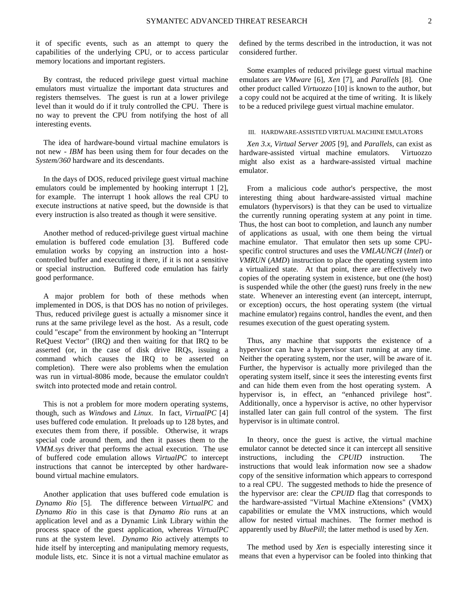it of specific events, such as an attempt to query the capabilities of the underlying CPU, or to access particular memory locations and important registers.

By contrast, the reduced privilege guest virtual machine emulators must virtualize the important data structures and registers themselves. The guest is run at a lower privilege level than it would do if it truly controlled the CPU. There is no way to prevent the CPU from notifying the host of all interesting events.

The idea of hardware-bound virtual machine emulators is not new - *IBM* has been using them for four decades on the *System/360* hardware and its descendants.

In the days of DOS, reduced privilege guest virtual machine emulators could be implemented by hooking interrupt 1 [2], for example. The interrupt 1 hook allows the real CPU to execute instructions at native speed, but the downside is that every instruction is also treated as though it were sensitive.

Another method of reduced-privilege guest virtual machine emulation is buffered code emulation [3]. Buffered code emulation works by copying an instruction into a hostcontrolled buffer and executing it there, if it is not a sensitive or special instruction. Buffered code emulation has fairly good performance.

A major problem for both of these methods when implemented in DOS, is that DOS has no notion of privileges. Thus, reduced privilege guest is actually a misnomer since it runs at the same privilege level as the host. As a result, code could "escape" from the environment by hooking an "Interrupt ReQuest Vector" (IRQ) and then waiting for that IRQ to be asserted (or, in the case of disk drive IRQs, issuing a command which causes the IRQ to be asserted on completion). There were also problems when the emulation was run in virtual-8086 mode, because the emulator couldn't switch into protected mode and retain control.

This is not a problem for more modern operating systems, though, such as *Windows* and *Linux*. In fact, *VirtualPC* [4] uses buffered code emulation. It preloads up to 128 bytes, and executes them from there, if possible. Otherwise, it wraps special code around them, and then it passes them to the *VMM.sys* driver that performs the actual execution. The use of buffered code emulation allows *VirtualPC* to intercept instructions that cannot be intercepted by other hardwarebound virtual machine emulators.

Another application that uses buffered code emulation is *Dynamo Rio* [5]. The difference between *VirtualPC* and *Dynamo Rio* in this case is that *Dynamo Rio* runs at an application level and as a Dynamic Link Library within the process space of the guest application, whereas *VirtualPC* runs at the system level. *Dynamo Rio* actively attempts to hide itself by intercepting and manipulating memory requests, module lists, etc. Since it is not a virtual machine emulator as defined by the terms described in the introduction, it was not considered further.

Some examples of reduced privilege guest virtual machine emulators are *VMware* [6], *Xen* [7], and *Parallels* [8]. One other product called *Virtuozzo* [10] is known to the author, but a copy could not be acquired at the time of writing. It is likely to be a reduced privilege guest virtual machine emulator.

### III. HARDWARE-ASSISTED VIRTUAL MACHINE EMULATORS

*Xen 3.x*, *Virtual Server 2005* [9], and *Parallels*, can exist as hardware-assisted virtual machine emulators. Virtuozzo might also exist as a hardware-assisted virtual machine emulator.

From a malicious code author's perspective, the most interesting thing about hardware-assisted virtual machine emulators (hypervisors) is that they can be used to virtualize the currently running operating system at any point in time. Thus, the host can boot to completion, and launch any number of applications as usual, with one them being the virtual machine emulator. That emulator then sets up some CPUspecific control structures and uses the *VMLAUNCH* (*Intel*) or *VMRUN* (*AMD*) instruction to place the operating system into a virtualized state. At that point, there are effectively two copies of the operating system in existence, but one (the host) is suspended while the other (the guest) runs freely in the new state. Whenever an interesting event (an intercept, interrupt, or exception) occurs, the host operating system (the virtual machine emulator) regains control, handles the event, and then resumes execution of the guest operating system.

Thus, any machine that supports the existence of a hypervisor can have a hypervisor start running at any time. Neither the operating system, nor the user, will be aware of it. Further, the hypervisor is actually more privileged than the operating system itself, since it sees the interesting events first and can hide them even from the host operating system. A hypervisor is, in effect, an "enhanced privilege host". Additionally, once a hypervisor is active, no other hypervisor installed later can gain full control of the system. The first hypervisor is in ultimate control.

In theory, once the guest is active, the virtual machine emulator cannot be detected since it can intercept all sensitive instructions, including the *CPUID* instruction. The instructions that would leak information now see a shadow copy of the sensitive information which appears to correspond to a real CPU. The suggested methods to hide the presence of the hypervisor are: clear the *CPUID* flag that corresponds to the hardware-assisted "Virtual Machine eXtensions" (VMX) capabilities or emulate the VMX instructions, which would allow for nested virtual machines. The former method is apparently used by *BluePill*; the latter method is used by *Xen*.

The method used by *Xen* is especially interesting since it means that even a hypervisor can be fooled into thinking that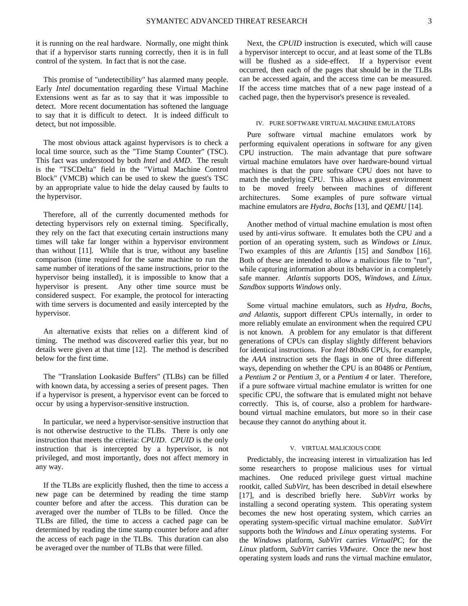it is running on the real hardware. Normally, one might think that if a hypervisor starts running correctly, then it is in full control of the system. In fact that is not the case.

This promise of "undetectibility" has alarmed many people. Early *Intel* documentation regarding these Virtual Machine Extensions went as far as to say that it was impossible to detect. More recent documentation has softened the language to say that it is difficult to detect. It is indeed difficult to detect, but not impossible.

The most obvious attack against hypervisors is to check a local time source, such as the "Time Stamp Counter" (TSC). This fact was understood by both *Intel* and *AMD*. The result is the "TSCDelta" field in the "Virtual Machine Control Block" (VMCB) which can be used to skew the guest's TSC by an appropriate value to hide the delay caused by faults to the hypervisor.

Therefore, all of the currently documented methods for detecting hypervisors rely on external timing. Specifically, they rely on the fact that executing certain instructions many times will take far longer within a hypervisor environment than without [11]. While that is true, without any baseline comparison (time required for the same machine to run the same number of iterations of the same instructions, prior to the hypervisor being installed), it is impossible to know that a hypervisor is present. Any other time source must be considered suspect. For example, the protocol for interacting with time servers is documented and easily intercepted by the hypervisor.

An alternative exists that relies on a different kind of timing. The method was discovered earlier this year, but no details were given at that time [12]. The method is described below for the first time.

The "Translation Lookaside Buffers" (TLBs) can be filled with known data, by accessing a series of present pages. Then if a hypervisor is present, a hypervisor event can be forced to occur by using a hypervisor-sensitive instruction.

In particular, we need a hypervisor-sensitive instruction that is not otherwise destructive to the TLBs. There is only one instruction that meets the criteria: *CPUID*. *CPUID* is the only instruction that is intercepted by a hypervisor, is not privileged, and most importantly, does not affect memory in any way.

If the TLBs are explicitly flushed, then the time to access a new page can be determined by reading the time stamp counter before and after the access. This duration can be averaged over the number of TLBs to be filled. Once the TLBs are filled, the time to access a cached page can be determined by reading the time stamp counter before and after the access of each page in the TLBs. This duration can also be averaged over the number of TLBs that were filled.

Next, the *CPUID* instruction is executed, which will cause a hypervisor intercept to occur, and at least some of the TLBs will be flushed as a side-effect. If a hypervisor event occurred, then each of the pages that should be in the TLBs can be accessed again, and the access time can be measured. If the access time matches that of a new page instead of a cached page, then the hypervisor's presence is revealed.

# IV. PURE SOFTWARE VIRTUAL MACHINE EMULATORS

Pure software virtual machine emulators work by performing equivalent operations in software for any given CPU instruction. The main advantage that pure software virtual machine emulators have over hardware-bound virtual machines is that the pure software CPU does not have to match the underlying CPU. This allows a guest environment to be moved freely between machines of different architectures. Some examples of pure software virtual machine emulators are *Hydra*, *Bochs* [13], and *QEMU* [14].

Another method of virtual machine emulation is most often used by anti-virus software. It emulates both the CPU and a portion of an operating system, such as *Windows* or *Linux*. Two examples of this are *Atlantis* [15] and *Sandbox* [16]. Both of these are intended to allow a malicious file to "run", while capturing information about its behavior in a completely safe manner. *Atlantis* supports DOS, *Windows*, and *Linux*. *Sandbox* supports *Windows* only.

Some virtual machine emulators, such as *Hydra*, *Bochs, and Atlantis*, support different CPUs internally, in order to more reliably emulate an environment when the required CPU is not known. A problem for any emulator is that different generations of CPUs can display slightly different behaviors for identical instructions. For *Intel* 80x86 CPUs, for example, the *AAA* instruction sets the flags in one of three different ways, depending on whether the CPU is an 80486 or *Pentium*, a *Pentium 2* or *Pentium 3*, or a *Pentium 4* or later. Therefore, if a pure software virtual machine emulator is written for one specific CPU, the software that is emulated might not behave correctly. This is, of course, also a problem for hardwarebound virtual machine emulators, but more so in their case because they cannot do anything about it.

#### V. VIRTUAL MALICIOUS CODE

Predictably, the increasing interest in virtualization has led some researchers to propose malicious uses for virtual machines. One reduced privilege guest virtual machine rootkit, called *SubVirt*, has been described in detail elsewhere [17], and is described briefly here. *SubVirt* works by installing a second operating system. This operating system becomes the new host operating system, which carries an operating system-specific virtual machine emulator. *SubVirt* supports both the *Windows* and *Linux* operating systems. For the *Windows* platform, *SubVirt* carries *VirtualPC*; for the *Linux* platform, *SubVirt* carries *VMware*. Once the new host operating system loads and runs the virtual machine emulator,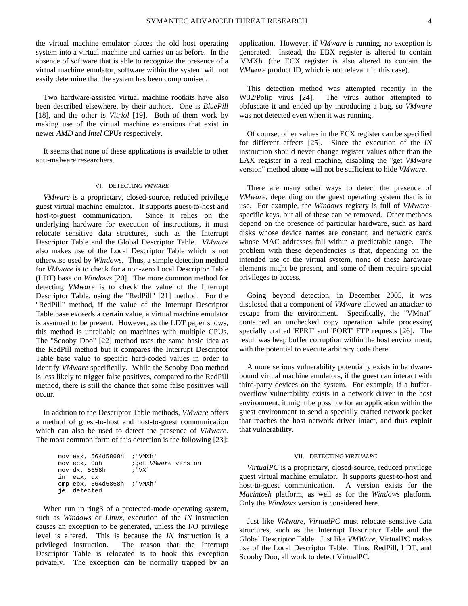the virtual machine emulator places the old host operating system into a virtual machine and carries on as before. In the absence of software that is able to recognize the presence of a virtual machine emulator, software within the system will not easily determine that the system has been compromised.

Two hardware-assisted virtual machine rootkits have also been described elsewhere, by their authors. One is *BluePill* [18], and the other is *Vitriol* [19]. Both of them work by making use of the virtual machine extensions that exist in newer *AMD* and *Intel* CPUs respectively.

It seems that none of these applications is available to other anti-malware researchers.

# VI. DETECTING *VMWARE*

*VMware* is a proprietary, closed-source, reduced privilege guest virtual machine emulator. It supports guest-to-host and host-to-guest communication. Since it relies on the underlying hardware for execution of instructions, it must relocate sensitive data structures, such as the Interrupt Descriptor Table and the Global Descriptor Table. *VMware* also makes use of the Local Descriptor Table which is not otherwise used by *Windows*. Thus, a simple detection method for *VMware* is to check for a non-zero Local Descriptor Table (LDT) base on *Windows* [20]. The more common method for detecting *VMware* is to check the value of the Interrupt Descriptor Table, using the "RedPill" [21] method. For the "RedPill" method, if the value of the Interrupt Descriptor Table base exceeds a certain value, a virtual machine emulator is assumed to be present. However, as the LDT paper shows, this method is unreliable on machines with multiple CPUs. The "Scooby Doo" [22] method uses the same basic idea as the RedPill method but it compares the Interrupt Descriptor Table base value to specific hard-coded values in order to identify *VMware* specifically. While the Scooby Doo method is less likely to trigger false positives, compared to the RedPill method, there is still the chance that some false positives will occur.

In addition to the Descriptor Table methods, *VMware* offers a method of guest-to-host and host-to-guest communication which can also be used to detect the presence of *VMware*. The most common form of this detection is the following [23]:

| mov eax, 564d5868h ; 'VMXh' |                     |
|-----------------------------|---------------------|
| mov ecx, 0ah                | iget VMware version |
| mov dx, 5658h               | : 'VX'              |
| in eax, dx                  |                     |
| cmp ebx, 564d5868h ; 'VMXh' |                     |
| je detected                 |                     |
|                             |                     |

When run in ring3 of a protected-mode operating system, such as *Windows* or *Linux*, execution of the *IN* instruction causes an exception to be generated, unless the I/O privilege level is altered. This is because the *IN* instruction is a privileged instruction. The reason that the Interrupt Descriptor Table is relocated is to hook this exception privately. The exception can be normally trapped by an

application. However, if *VMware* is running, no exception is generated. Instead, the EBX register is altered to contain 'VMXh' (the ECX register is also altered to contain the *VMware* product ID, which is not relevant in this case).

This detection method was attempted recently in the W32/Polip virus [24]. The virus author attempted to obfuscate it and ended up by introducing a bug, so *VMware* was not detected even when it was running.

Of course, other values in the ECX register can be specified for different effects [25]. Since the execution of the *IN* instruction should never change register values other than the EAX register in a real machine, disabling the "get *VMware* version" method alone will not be sufficient to hide *VMware*.

There are many other ways to detect the presence of *VMware*, depending on the guest operating system that is in use. For example, the *Windows* registry is full of *VMware*specific keys, but all of these can be removed. Other methods depend on the presence of particular hardware, such as hard disks whose device names are constant, and network cards whose MAC addresses fall within a predictable range. The problem with these dependencies is that, depending on the intended use of the virtual system, none of these hardware elements might be present, and some of them require special privileges to access.

Going beyond detection, in December 2005, it was disclosed that a component of *VMware* allowed an attacker to escape from the environment. Specifically, the "VMnat" contained an unchecked copy operation while processing specially crafted 'EPRT' and 'PORT' FTP requests [26]. The result was heap buffer corruption within the host environment, with the potential to execute arbitrary code there.

A more serious vulnerability potentially exists in hardwarebound virtual machine emulators, if the guest can interact with third-party devices on the system. For example, if a bufferoverflow vulnerability exists in a network driver in the host environment, it might be possible for an application within the guest environment to send a specially crafted network packet that reaches the host network driver intact, and thus exploit that vulnerability.

#### VII. DETECTING *VIRTUALPC*

*VirtualPC* is a proprietary, closed-source, reduced privilege guest virtual machine emulator. It supports guest-to-host and host-to-guest communication. A version exists for the *Macintosh* platform, as well as for the *Windows* platform. Only the *Windows* version is considered here.

Just like *VMware*, *VirtualPC* must relocate sensitive data structures, such as the Interrupt Descriptor Table and the Global Descriptor Table. Just like *VMWare*, VirtualPC makes use of the Local Descriptor Table. Thus, RedPill, LDT, and Scooby Doo, all work to detect VirtualPC.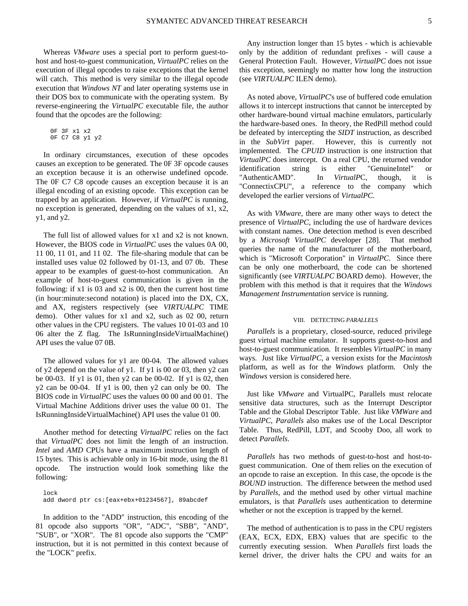Whereas *VMware* uses a special port to perform guest-tohost and host-to-guest communication, *VirtualPC* relies on the execution of illegal opcodes to raise exceptions that the kernel will catch. This method is very similar to the illegal opcode execution that *Windows NT* and later operating systems use in their DOS box to communicate with the operating system. By reverse-engineering the *VirtualPC* executable file, the author found that the opcodes are the following:

```
 0F 3F x1 x2 
0F C7 C8 y1 y2
```
In ordinary circumstances, execution of these opcodes causes an exception to be generated. The 0F 3F opcode causes an exception because it is an otherwise undefined opcode. The 0F C7 C8 opcode causes an exception because it is an illegal encoding of an existing opcode. This exception can be trapped by an application. However, if *VirtualPC* is running, no exception is generated, depending on the values of x1, x2, y1, and y2.

The full list of allowed values for x1 and x2 is not known. However, the BIOS code in *VirtualPC* uses the values 0A 00, 11 00, 11 01, and 11 02. The file-sharing module that can be installed uses value 02 followed by 01-13, and 07 0b. These appear to be examples of guest-to-host communication. An example of host-to-guest communication is given in the following: if x1 is 03 and x2 is 00, then the current host time (in hour:minute:second notation) is placed into the DX, CX, and AX, registers respectively (see *VIRTUALPC* TIME demo). Other values for x1 and x2, such as 02 00, return other values in the CPU registers. The values 10 01-03 and 10 06 alter the Z flag. The IsRunningInsideVirtualMachine() API uses the value 07 0B.

The allowed values for y1 are 00-04. The allowed values of y2 depend on the value of y1. If y1 is 00 or 03, then y2 can be 00-03. If y1 is 01, then y2 can be 00-02. If y1 is 02, then y2 can be 00-04. If y1 is 00, then y2 can only be 00. The BIOS code in *VirtualPC* uses the values 00 00 and 00 01. The Virtual Machine Additions driver uses the value 00 01. The IsRunningInsideVirtualMachine() API uses the value 01 00.

Another method for detecting *VirtualPC* relies on the fact that *VirtualPC* does not limit the length of an instruction. *Intel* and *AMD* CPUs have a maximum instruction length of 15 bytes. This is achievable only in 16-bit mode, using the 81 opcode. The instruction would look something like the following:

 lock add dword ptr cs:[eax+ebx+01234567], 89abcdef

In addition to the "ADD" instruction, this encoding of the 81 opcode also supports "OR", "ADC", "SBB", "AND", "SUB", or "XOR". The 81 opcode also supports the "CMP" instruction, but it is not permitted in this context because of the "LOCK" prefix.

Any instruction longer than 15 bytes - which is achievable only by the addition of redundant prefixes - will cause a General Protection Fault. However, *VirtualPC* does not issue this exception, seemingly no matter how long the instruction (see *VIRTUALPC* ILEN demo).

As noted above, *VirtualPC*'s use of buffered code emulation allows it to intercept instructions that cannot be intercepted by other hardware-bound virtual machine emulators, particularly the hardware-based ones. In theory, the RedPill method could be defeated by intercepting the *SIDT* instruction, as described in the *SubVirt* paper. However, this is currently not implemented. The *CPUID* instruction is one instruction that *VirtualPC* does intercept. On a real CPU, the returned vendor identification string is either "GenuineIntel" or "AuthenticAMD". In *VirtualP*C, though, it is "ConnectixCPU", a reference to the company which developed the earlier versions of *VirtualPC*.

As with *VMware*, there are many other ways to detect the presence of *VirtualPC*, including the use of hardware devices with constant names. One detection method is even described by a *Microsoft VirtualPC* developer [28]. That method queries the name of the manufacturer of the motherboard, which is "Microsoft Corporation" in *VirtualPC*. Since there can be only one motherboard, the code can be shortened significantly (see *VIRTUALPC* BOARD demo). However, the problem with this method is that it requires that the *Windows Management Instrumentation* service is running.

# VIII. DETECTING *PARALLELS*

*Parallels* is a proprietary, closed-source, reduced privilege guest virtual machine emulator. It supports guest-to-host and host-to-guest communication. It resembles *VirtualPC* in many ways. Just like *VirtualPC*, a version exists for the *Macintosh* platform, as well as for the *Windows* platform. Only the *Windows* version is considered here.

Just like *VMware* and VirtualPC, Parallels must relocate sensitive data structures, such as the Interrupt Descriptor Table and the Global Descriptor Table. Just like *VMWare* and *VirtualPC*, *Parallels* also makes use of the Local Descriptor Table. Thus, RedPill, LDT, and Scooby Doo, all work to detect *Parallels*.

*Parallels* has two methods of guest-to-host and host-toguest communication. One of them relies on the execution of an opcode to raise an exception. In this case, the opcode is the *BOUND* instruction. The difference between the method used by *Parallels*, and the method used by other virtual machine emulators, is that *Parallels* uses authentication to determine whether or not the exception is trapped by the kernel.

The method of authentication is to pass in the CPU registers (EAX, ECX, EDX, EBX) values that are specific to the currently executing session. When *Parallels* first loads the kernel driver, the driver halts the CPU and waits for an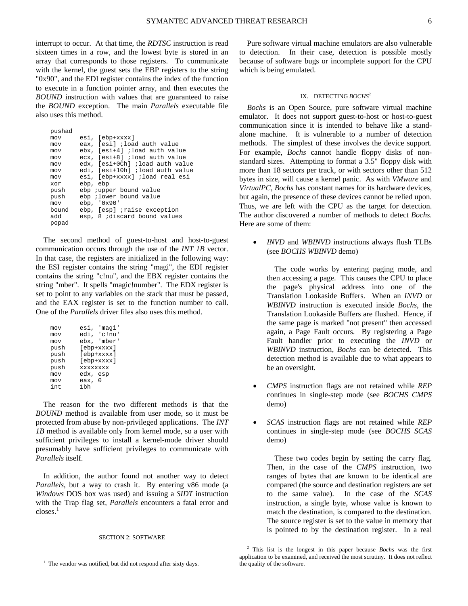interrupt to occur. At that time, the *RDTSC* instruction is read sixteen times in a row, and the lowest byte is stored in an array that corresponds to those registers. To communicate with the kernel, the guest sets the EBP registers to the string "0x90", and the EDI register contains the index of the function to execute in a function pointer array, and then executes the *BOUND* instruction with values that are guaranteed to raise the *BOUND* exception. The main *Parallels* executable file also uses this method.

| pushad |                                 |
|--------|---------------------------------|
| mov    | esi, [ebp+xxxx]                 |
| mov    | eax, [esi] ;load auth value     |
| mov    | ebx, [esi+4] ;load auth value   |
| mov    | ecx, [esi+8] ;load auth value   |
| mov    | edx, [esi+0Ch] ;load auth value |
| mov    | edi, [esi+10h] ;load auth value |
| mov    | esi, [ebp+xxxx] ;load real esi  |
| xor    | ebp, ebp                        |
| push   | ebp <i>j</i> upper bound value  |
| push   | ebp ; lower bound value         |
| mov    | ebp, '0x90'                     |
| bound  | ebp, [esp] iraise exception     |
| bba    | esp. 8 ; discard bound values   |
| popad  |                                 |
|        |                                 |

The second method of guest-to-host and host-to-guest communication occurs through the use of the *INT 1B* vector. In that case, the registers are initialized in the following way: the ESI register contains the string "magi", the EDI register contains the string "c!nu", and the EBX register contains the string "mber". It spells "magic!number". The EDX register is set to point to any variables on the stack that must be passed, and the EAX register is set to the function number to call. One of the *Parallels* driver files also uses this method.

| mov  | esi,<br>'magi'  |
|------|-----------------|
| mov  | edi, 'c!nu'     |
| mov  | ebx, 'mber'     |
| push | [ebp+xxxx]      |
| push | [ebp+xxxx]      |
| push | [ebp+xxxx]      |
| push | <b>XXXXXXXX</b> |
| mov  | edx, esp        |
| mov  | eax,<br>0       |
| int  | 1 hh            |

The reason for the two different methods is that the *BOUND* method is available from user mode, so it must be protected from abuse by non-privileged applications. The *INT 1B* method is available only from kernel mode, so a user with sufficient privileges to install a kernel-mode driver should presumably have sufficient privileges to communicate with *Parallels* itself.

In addition, the author found not another way to detect *Parallels*, but a way to crash it. By entering v86 mode (a *Windows* DOS box was used) and issuing a *SIDT* instruction with the Trap flag set, *Parallels* encounters a fatal error and  $\text{closes}$ <sup>1</sup>

#### SECTION 2: SOFTWARE

Pure software virtual machine emulators are also vulnerable to detection. In their case, detection is possible mostly because of software bugs or incomplete support for the CPU which is being emulated.

### IX. DETECTING *BOCHS*<sup>2</sup>

*Bochs* is an Open Source, pure software virtual machine emulator. It does not support guest-to-host or host-to-guest communication since it is intended to behave like a standalone machine. It is vulnerable to a number of detection methods. The simplest of these involves the device support. For example, *Bochs* cannot handle floppy disks of nonstandard sizes. Attempting to format a 3.5" floppy disk with more than 18 sectors per track, or with sectors other than 512 bytes in size, will cause a kernel panic. As with *VMware* and *VirtualPC*, *Bochs* has constant names for its hardware devices, but again, the presence of these devices cannot be relied upon. Thus, we are left with the CPU as the target for detection. The author discovered a number of methods to detect *Bochs*. Here are some of them:

• *INVD* and *WBINVD* instructions always flush TLBs (see *BOCHS WBINVD* demo)

The code works by entering paging mode, and then accessing a page. This causes the CPU to place the page's physical address into one of the Translation Lookaside Buffers. When an *INVD* or *WBINVD* instruction is executed inside *Bochs*, the Translation Lookaside Buffers are flushed. Hence, if the same page is marked "not present" then accessed again, a Page Fault occurs. By registering a Page Fault handler prior to executing the *INVD* or *WBINVD* instruction, *Bochs* can be detected. This detection method is available due to what appears to be an oversight.

- *CMPS* instruction flags are not retained while *REP* continues in single-step mode (see *BOCHS CMPS* demo)
- *SCAS* instruction flags are not retained while *REP* continues in single-step mode (see *BOCHS SCAS* demo)

These two codes begin by setting the carry flag. Then, in the case of the *CMPS* instruction, two ranges of bytes that are known to be identical are compared (the source and destination registers are set to the same value). In the case of the *SCAS* instruction, a single byte, whose value is known to match the destination, is compared to the destination. The source register is set to the value in memory that is pointed to by the destination register. In a real

<sup>&</sup>lt;sup>1</sup> The vendor was notified, but did not respond after sixty days.

<sup>2</sup> This list is the longest in this paper because *Bochs* was the first application to be examined, and received the most scrutiny. It does not reflect the quality of the software.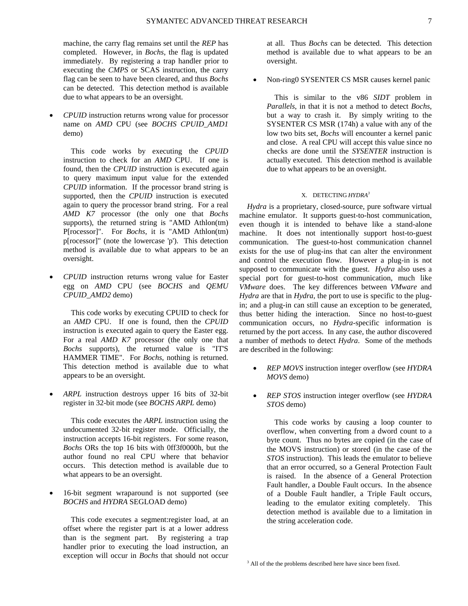machine, the carry flag remains set until the *REP* has completed. However, in *Bochs*, the flag is updated immediately. By registering a trap handler prior to executing the *CMPS* or SCAS instruction, the carry flag can be seen to have been cleared, and thus *Bochs* can be detected. This detection method is available due to what appears to be an oversight.

• *CPUID* instruction returns wrong value for processor name on *AMD* CPU (see *BOCHS CPUID\_AMD1* demo)

This code works by executing the *CPUID* instruction to check for an *AMD* CPU. If one is found, then the *CPUID* instruction is executed again to query maximum input value for the extended *CPUID* information. If the processor brand string is supported, then the *CPUID* instruction is executed again to query the processor brand string. For a real *AMD K7* processor (the only one that *Bochs* supports), the returned string is "AMD Athlon(tm) P[rocessor]". For *Bochs*, it is "AMD Athlon(tm) p[rocessor]" (note the lowercase 'p'). This detection method is available due to what appears to be an oversight.

• *CPUID* instruction returns wrong value for Easter egg on *AMD* CPU (see *BOCHS* and *QEMU CPUID\_AMD2* demo)

This code works by executing CPUID to check for an *AMD* CPU. If one is found, then the *CPUID* instruction is executed again to query the Easter egg. For a real *AMD K7* processor (the only one that *Bochs* supports), the returned value is "IT'S HAMMER TIME". For *Bochs*, nothing is returned. This detection method is available due to what appears to be an oversight.

• *ARPL* instruction destroys upper 16 bits of 32-bit register in 32-bit mode (see *BOCHS ARPL* demo)

This code executes the *ARPL* instruction using the undocumented 32-bit register mode. Officially, the instruction accepts 16-bit registers. For some reason, *Bochs* ORs the top 16 bits with 0ff3f0000h, but the author found no real CPU where that behavior occurs. This detection method is available due to what appears to be an oversight.

• 16-bit segment wraparound is not supported (see *BOCHS* and *HYDRA* SEGLOAD demo)

This code executes a segment:register load, at an offset where the register part is at a lower address than is the segment part. By registering a trap handler prior to executing the load instruction, an exception will occur in *Bochs* that should not occur at all. Thus *Bochs* can be detected. This detection method is available due to what appears to be an oversight.

• Non-ring0 SYSENTER CS MSR causes kernel panic

This is similar to the v86 *SIDT* problem in *Parallels*, in that it is not a method to detect *Bochs*, but a way to crash it. By simply writing to the SYSENTER CS MSR (174h) a value with any of the low two bits set, *Bochs* will encounter a kernel panic and close. A real CPU will accept this value since no checks are done until the *SYSENTER* instruction is actually executed. This detection method is available due to what appears to be an oversight.

#### X. DETECTING *HYDRA3*

*Hydra* is a proprietary, closed-source, pure software virtual machine emulator. It supports guest-to-host communication, even though it is intended to behave like a stand-alone machine. It does not intentionally support host-to-guest communication. The guest-to-host communication channel exists for the use of plug-ins that can alter the environment and control the execution flow. However a plug-in is not supposed to communicate with the guest. *Hydra* also uses a special port for guest-to-host communication, much like *VMware* does. The key differences between *VMware* and *Hydra* are that in *Hydra*, the port to use is specific to the plugin; and a plug-in can still cause an exception to be generated, thus better hiding the interaction. Since no host-to-guest communication occurs, no *Hydra*-specific information is returned by the port access. In any case, the author discovered a number of methods to detect *Hydra*. Some of the methods are described in the following:

- *REP MOVS* instruction integer overflow (see *HYDRA MOVS* demo)
- *REP STOS* instruction integer overflow (see *HYDRA STOS* demo)

This code works by causing a loop counter to overflow, when converting from a dword count to a byte count. Thus no bytes are copied (in the case of the MOVS instruction) or stored (in the case of the *STOS* instruction). This leads the emulator to believe that an error occurred, so a General Protection Fault is raised. In the absence of a General Protection Fault handler, a Double Fault occurs. In the absence of a Double Fault handler, a Triple Fault occurs, leading to the emulator exiting completely. This detection method is available due to a limitation in the string acceleration code.

<sup>&</sup>lt;sup>3</sup> All of the the problems described here have since been fixed.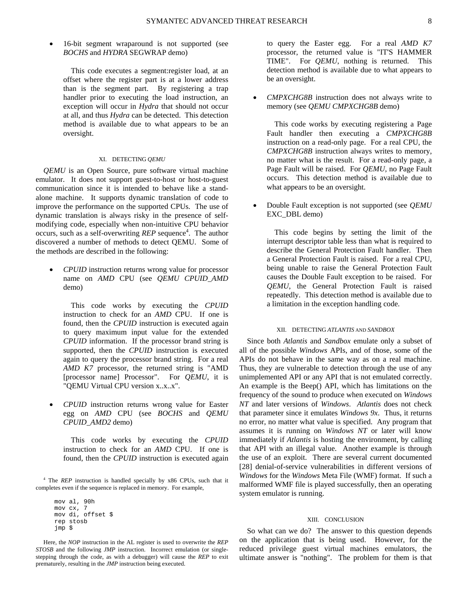• 16-bit segment wraparound is not supported (see *BOCHS* and *HYDRA* SEGWRAP demo)

This code executes a segment:register load, at an offset where the register part is at a lower address than is the segment part. By registering a trap handler prior to executing the load instruction, an exception will occur in *Hydra* that should not occur at all, and thus *Hydra* can be detected. This detection method is available due to what appears to be an oversight.

### XI. DETECTING *QEMU*

*QEMU* is an Open Source, pure software virtual machine emulator. It does not support guest-to-host or host-to-guest communication since it is intended to behave like a standalone machine. It supports dynamic translation of code to improve the performance on the supported CPUs. The use of dynamic translation is always risky in the presence of selfmodifying code, especially when non-intuitive CPU behavior occurs, such as a self-overwriting *REP* sequence<sup>4</sup>. The author discovered a number of methods to detect QEMU. Some of the methods are described in the following:

• *CPUID* instruction returns wrong value for processor name on *AMD* CPU (see *QEMU CPUID\_AMD* demo)

This code works by executing the *CPUID* instruction to check for an *AMD* CPU. If one is found, then the *CPUID* instruction is executed again to query maximum input value for the extended *CPUID* information. If the processor brand string is supported, then the *CPUID* instruction is executed again to query the processor brand string. For a real *AMD K7* processor, the returned string is "AMD [processor name] Processor". For *QEMU*, it is "QEMU Virtual CPU version x..x..x".

• *CPUID* instruction returns wrong value for Easter egg on *AMD* CPU (see *BOCHS* and *QEMU CPUID\_AMD2* demo)

This code works by executing the *CPUID* instruction to check for an *AMD* CPU. If one is found, then the *CPUID* instruction is executed again

<sup>4</sup> The *REP* instruction is handled specially by x86 CPUs, such that it completes even if the sequence is replaced in memory. For example,

 mov al, 90h mov cx, 7 mov di, offset \$ rep stosb jmp \$

Here, the *NOP* instruction in the AL register is used to overwrite the *REP STOSB* and the following *JMP* instruction. Incorrect emulation (or singlestepping through the code, as with a debugger) will cause the *REP* to exit prematurely, resulting in the *JMP* instruction being executed.

to query the Easter egg. For a real *AMD K7* processor, the returned value is "IT'S HAMMER TIME". For *QEMU*, nothing is returned. This detection method is available due to what appears to be an oversight.

• *CMPXCHG8B* instruction does not always write to memory (see *QEMU CMPXCHG8B* demo)

This code works by executing registering a Page Fault handler then executing a *CMPXCHG8B* instruction on a read-only page. For a real CPU, the *CMPXCHG8B* instruction always writes to memory, no matter what is the result. For a read-only page, a Page Fault will be raised. For *QEMU*, no Page Fault occurs. This detection method is available due to what appears to be an oversight.

• Double Fault exception is not supported (see *QEMU* EXC\_DBL demo)

This code begins by setting the limit of the interrupt descriptor table less than what is required to describe the General Protection Fault handler. Then a General Protection Fault is raised. For a real CPU, being unable to raise the General Protection Fault causes the Double Fault exception to be raised. For *QEMU*, the General Protection Fault is raised repeatedly. This detection method is available due to a limitation in the exception handling code.

#### XII. DETECTING *ATLANTIS* AND *SANDBOX*

Since both *Atlantis* and *Sandbox* emulate only a subset of all of the possible *Windows* APIs, and of those, some of the APIs do not behave in the same way as on a real machine. Thus, they are vulnerable to detection through the use of any unimplemented API or any API that is not emulated correctly. An example is the Beep() API, which has limitations on the frequency of the sound to produce when executed on *Windows NT* and later versions of *Windows*. *Atlantis* does not check that parameter since it emulates *Windows 9x*. Thus, it returns no error, no matter what value is specified. Any program that assumes it is running on *Windows NT* or later will know immediately if *Atlantis* is hosting the environment, by calling that API with an illegal value. Another example is through the use of an exploit. There are several current documented [28] denial-of-service vulnerabilities in different versions of *Windows* for the *Windows* Meta File (WMF) format. If such a malformed WMF file is played successfully, then an operating system emulator is running.

#### XIII. CONCLUSION

So what can we do? The answer to this question depends on the application that is being used. However, for the reduced privilege guest virtual machines emulators, the ultimate answer is "nothing". The problem for them is that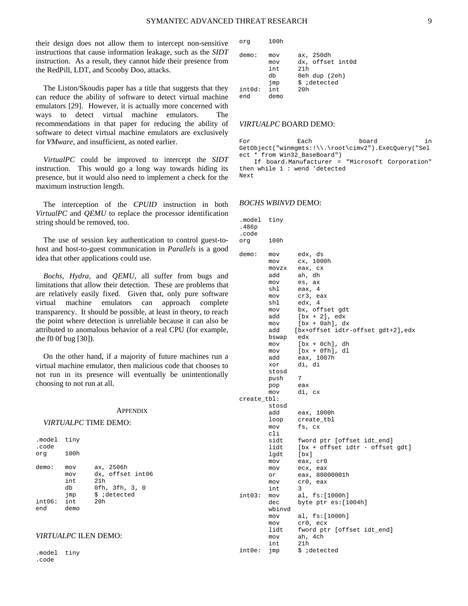their design does not allow them to intercept non-sensitive instructions that cause information leakage, such as the *SIDT* instruction. As a result, they cannot hide their presence from the RedPill, LDT, and Scooby Doo, attacks.

The Liston/Skoudis paper has a title that suggests that they can reduce the ability of software to detect virtual machine emulators [29]. However, it is actually more concerned with ways to detect virtual machine emulators. The recommendations in that paper for reducing the ability of software to detect virtual machine emulators are exclusively for *VMware*, and insufficient, as noted earlier.

*VirtualPC* could be improved to intercept the *SIDT* instruction. This would go a long way towards hiding its presence, but it would also need to implement a check for the maximum instruction length.

The interception of the *CPUID* instruction in both *VirtualPC* and *QEMU* to replace the processor identification string should be removed, too.

The use of session key authentication to control guest-tohost and host-to-guest communication in *Parallels* is a good idea that other applications could use.

*Bochs*, *Hydra*, and *QEMU*, all suffer from bugs and limitations that allow their detection. These are problems that are relatively easily fixed. Given that, only pure software virtual machine emulators can approach complete transparency. It should be possible, at least in theory, to reach the point where detection is unreliable because it can also be attributed to anomalous behavior of a real CPU (for example, the f0 0f bug [30]).

On the other hand, if a majority of future machines run a virtual machine emulator, then malicious code that chooses to not run in its presence will eventually be unintentionally choosing to not run at all.

#### **APPENDIX**

# *VIRTUALPC* TIME DEMO:

| .model<br>.code<br>orq | tiny<br>100h                   |                                                                        |
|------------------------|--------------------------------|------------------------------------------------------------------------|
| demo:                  | mov<br>mov<br>int<br>db<br>jmp | ax, 2506h<br>dx, offset int06<br>21h<br>0fh, 3fh, 3, 0<br>\$ ;detected |
| int06:                 | int                            | 20h                                                                    |
| end                    | demo                           |                                                                        |

# *VIRTUALPC* ILEN DEMO:

.model tiny .code

org 100h demo: mov ax, 250dh mov dx, offset int0d int 21h db 0eh dup (2eh)<br>jmp \$ ;detected \$ ;detected int0d: int 20h end demo

# *VIRTUALPC* BOARD DEMO:

For **Each** board in GetObject("winmgmts:!\\.\root\cimv2").ExecQuery("Sel ect \* from Win32\_BaseBoard") If board.Manufacturer = "Microsoft Corporation" then while 1 : wend 'detected

### *BOCHS WBINVD* DEMO:

Next

| .model<br>.486p | tiny   |                                   |
|-----------------|--------|-----------------------------------|
| .code           | 100h   |                                   |
| org             |        |                                   |
| demo:           | mov    | edx, ds                           |
|                 | mov    | cx, 1000h                         |
|                 | movzx  | eax, cx                           |
|                 | add    | ah, dh                            |
|                 | mov    | es, ax                            |
|                 | shl    | eax, 4                            |
|                 | mov    | cr3, eax                          |
|                 | shl    | edx,<br>4                         |
|                 | mov    | bx, offset gdt                    |
|                 | add    | $[bx + 2], edx$                   |
|                 | mov    | $[bx + 0ah], dx$                  |
|                 | add    | [bx+offset idtr-offset gdt+2],edx |
|                 | bswap  | edx                               |
|                 | mov    | $[bx + 0ch], dh$                  |
|                 | mov    | $[bx + 0fh], dl$                  |
|                 | add    | eax, 1007h                        |
|                 | xor    | di, di                            |
|                 | stosd  |                                   |
|                 | push   | 7                                 |
|                 | pop    | eax                               |
|                 | mov    | di, cx                            |
| create_tbl:     | stosd  |                                   |
|                 | add    | eax, 1000h                        |
|                 | loop   | create_tbl                        |
|                 | mov    | fs, cx                            |
|                 | cli    |                                   |
|                 | sidt   | fword ptr [offset idt_end]        |
|                 | lidt   | [bx + offset idtr - offset gdt]   |
|                 | lgdt   | $[\mathbf{bx}]$                   |
|                 | mov    | eax, cr0                          |
|                 | mov    | ecx, eax                          |
|                 | or     | eax, 80000001h                    |
|                 | mov    | cr0, eax                          |
|                 | int    | 3                                 |
| int03:          | mov    | al, fs:[1000h]                    |
|                 | dec    | byte ptr es: [1004h]              |
|                 | wbinvd |                                   |
|                 | mov    | al, fs: [1000h]                   |
|                 | mov    | cr0, ecx                          |
|                 | lidt   | fword ptr [offset idt_end]        |
|                 | mov    | ah, 4ch                           |
|                 | int    | 21h                               |
| $int0e$ :       | jmp    | \$ ;detected                      |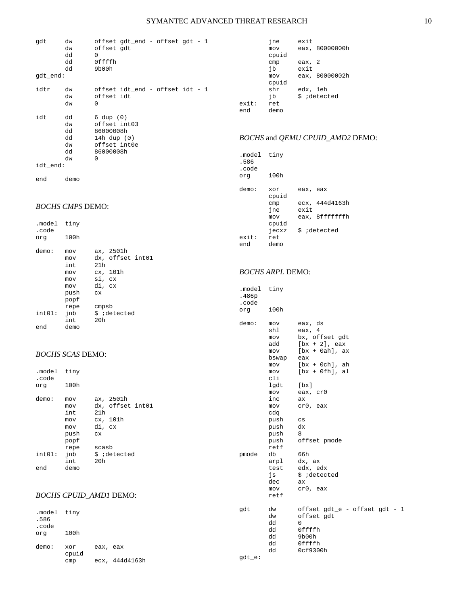| gdt<br>gdt_end: | dw<br>dw<br>dd<br>dd<br>dd             | offset gdt_end - offset gdt - 1<br>offset gdt<br>$\Omega$<br>Offffh<br>9b00h                         |
|-----------------|----------------------------------------|------------------------------------------------------------------------------------------------------|
| idtr            | dw<br>dw<br>dw                         | offset idt_end - offset idt - 1<br>offset idt<br>0                                                   |
| idt             | dd<br>dw<br>dd<br>dd<br>dw<br>dd<br>dw | $6 \text{ dup } (0)$<br>offset int03<br>86000008h<br>14h dup $(0)$<br>offset int0e<br>86000008h<br>0 |
| idt_end:        |                                        |                                                                                                      |
| end             | demo                                   |                                                                                                      |

# *BOCHS CMPS* DEMO:

.model tiny

| .code<br>orq  | 100h                                                   |                                                                             |
|---------------|--------------------------------------------------------|-----------------------------------------------------------------------------|
| demo:         | mov<br>mov<br>int<br>mov<br>mov<br>mov<br>push<br>popf | ax, 2501h<br>dx, offset int01<br>21h<br>cx, 101h<br>si, cx<br>di, cx<br>C X |
| int01:<br>end | repe<br>jnb<br>int<br>demo                             | cmpsb<br>\$ ;detected<br>20h                                                |
|               |                                                        |                                                                             |

# *BOCHS SCAS* DEMO:

| .model tiny<br>.code |      |                  |
|----------------------|------|------------------|
| org                  | 100h |                  |
| demo:                | mov  | ax, 2501h        |
|                      | mov  | dx, offset int01 |
|                      | int. | 21h              |
|                      | mov  | cx, 101h         |
|                      | mov  | di, cx           |
|                      | push | CX               |
|                      | popf |                  |
|                      | repe | scasb            |
| int01:               | jnb  | \$ ;detected     |
|                      | int  | 20h              |
| end                  | demo |                  |

# *BOCHS CPUID\_AMD1* DEMO:

| .model tiny<br>.586<br>.code |       |          |           | qdt    | dw<br>dw<br>dd | offset gdt_e - offset gdt - 1<br>offset gdt<br>$\Omega$ |
|------------------------------|-------|----------|-----------|--------|----------------|---------------------------------------------------------|
| org                          | 100h  |          |           |        | dd<br>dd       | Offffh<br>9b00h                                         |
| demo:                        | xor   | eax, eax |           |        | dd             | Offffh                                                  |
|                              | cpuid |          |           |        | dd             | 0cf9300h                                                |
|                              | cmp   | ecx,     | 444d4163h | gdt_e: |                |                                                         |

jne exit<br>mov eax, eax, 80000000h cpuid cmp eax, 2<br>jb exit exit mov eax, 80000002h cpuid<br>shr shr edx, 1eh<br>jb \$ ;detect jb  $\frac{1}{2}$  ; idetected ret  $ext:$ end demo

# *BOCHS* and *QEMU CPUID\_AMD2* DEMO:

| .model<br>.586<br>.code<br>orq | tiny<br>100h                               |                  |                                  |
|--------------------------------|--------------------------------------------|------------------|----------------------------------|
| demo:                          | xor<br>cpuid<br>cmp<br>jne<br>mov<br>cpuid | eax, eax<br>exit | ecx, 444d4163h<br>eax, 8fffffffh |
| exit:<br>end                   | jecxz<br>ret.<br>demo                      |                  | \$ ;detected                     |

# *BOCHS ARPL* DEMO:

| .model<br>.486p<br>.code | tiny                                                                                                                                            |                                                                                                                                                                                                                             |
|--------------------------|-------------------------------------------------------------------------------------------------------------------------------------------------|-----------------------------------------------------------------------------------------------------------------------------------------------------------------------------------------------------------------------------|
| org                      | 100h                                                                                                                                            |                                                                                                                                                                                                                             |
| demo:                    | mov<br>shl<br>mov<br>add<br>mov<br>bswap<br>mov<br>mov<br>cli<br>lgdt<br>mov<br>inc<br>mov<br>cdq<br>push<br>push<br>push<br>push<br>retf<br>db | eax, ds<br>eax, 4<br>bx, offset gdt<br>$[bx + 2], eax$<br>$[bx + 0ah], ax$<br>eax<br>$[bx + 0ch], ah$<br>$[bx + 0fh], al$<br>[bx]<br>eax, cr0<br>ax<br>cr0, eax<br>$\mathbf{c}\mathbf{s}$<br>dx<br>8<br>offset pmode<br>66h |
| pmode                    | arpl<br>test<br>js<br>dec<br>mov<br>retf                                                                                                        | dx, ax<br>edx, edx<br>\$ ;detected<br>ax<br>cr0, eax                                                                                                                                                                        |
| gdt                      | dw<br>dw<br>dd<br>dd<br>dd<br>dd<br>dd                                                                                                          | offset gdt_e - offset gdt - 1<br>offset gdt<br>0<br>Offffh<br>9b00h<br>Offffh<br>0cf9300h                                                                                                                                   |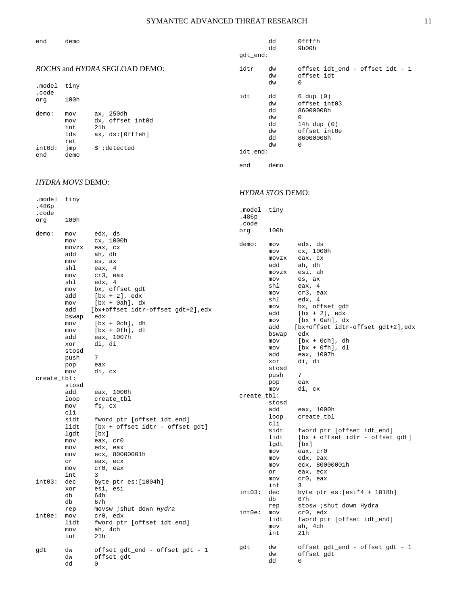dd 0ffffh

*HYDRA STOS* DEMO:

| demo |
|------|
|      |

|                                                                        | gdt_end:        | dd                   | 9b00h                                              |
|------------------------------------------------------------------------|-----------------|----------------------|----------------------------------------------------|
| <i>BOCHS</i> and <i>HYDRA</i> SEGLOAD DEMO:<br>tiny<br>.model          | idtr            | dw<br>dw<br>dw       | offset idt end - offset idt - 1<br>offset idt<br>0 |
| .code<br>100h<br>orq<br>demo:<br>ax, 250dh<br>mov                      | idt             | dd<br>dw<br>dd       | $6 \text{ dup } (0)$<br>offset int03<br>86000008h  |
| dx, offset int0d<br>mov<br>int<br>21h<br>lds<br>ax, ds:[0fffeh]<br>ret |                 | dw<br>dd<br>dw<br>dd | 0<br>14h dup $(0)$<br>offset int0e<br>86000008h    |
| int0d:<br>jmp<br>\$ ;detected<br>end<br>demo                           | idt end:<br>end | dw<br>demo           | 0                                                  |

# *HYDRA MOVS* DEMO:

| .model      | tiny  |                                    |             | <b>ILLDIVI DI UD DENIU.</b> |                                    |  |  |
|-------------|-------|------------------------------------|-------------|-----------------------------|------------------------------------|--|--|
| .486p       |       |                                    |             |                             |                                    |  |  |
| .code       |       |                                    | .model      | tiny                        |                                    |  |  |
| org         | 100h  |                                    | .486p       |                             |                                    |  |  |
|             |       |                                    | .code       |                             |                                    |  |  |
| demo:       | mov   | edx, ds                            | org         | 100h                        |                                    |  |  |
|             | mov   | cx, 1000h                          |             |                             |                                    |  |  |
|             | movzx | eax, cx                            | demo:       | mov                         | edx, ds                            |  |  |
|             | add   | ah, dh                             |             | mov                         | cx, 1000h                          |  |  |
|             | mov   | es, ax                             |             | movzx                       | eax, cx                            |  |  |
|             | shl   | eax, 4                             |             | add                         | ah, dh                             |  |  |
|             | mov   | cr3, eax                           |             | movzx                       | esi, ah                            |  |  |
|             | shl   | edx, 4                             |             | mov                         | es, ax                             |  |  |
|             | mov   | bx, offset gdt                     |             | shl                         | eax, 4                             |  |  |
|             | add   | $[bx + 2], edx$                    |             | mov                         | cr3, eax                           |  |  |
|             | mov   | $[bx + 0ah], dx$                   |             | shl                         | edx, 4                             |  |  |
|             | add   | [bx+offset idtr-offset gdt+2], edx |             | mov                         | bx, offset gdt                     |  |  |
|             | bswap | edx                                |             | add                         | $[bx + 2], edx$                    |  |  |
|             | mov   | $[bx + 0ch], dh$                   |             | mov                         | $[bx + 0ah], dx$                   |  |  |
|             | mov   | $[bx + 0fh], dl$                   |             | add                         | [bx+offset idtr-offset gdt+2], edx |  |  |
|             | add   | eax, 1007h                         |             | bswap                       | edx                                |  |  |
|             | xor   | di, di                             |             | mov                         | $[bx + 0ch], dh$                   |  |  |
|             | stosd |                                    |             | mov                         | $[bx + 0fh], dl$                   |  |  |
|             | push  | 7                                  |             | add                         | eax, 1007h                         |  |  |
|             | pop   | eax                                |             | xor                         | di, di                             |  |  |
|             | mov   | di, cx                             |             | stosd                       |                                    |  |  |
| create_tbl: |       |                                    |             | push                        | 7                                  |  |  |
|             | stosd |                                    |             | pop                         | eax                                |  |  |
|             | add   | eax, 1000h                         |             | mov                         | di, cx                             |  |  |
|             | loop  | create_tbl                         | create_tbl: |                             |                                    |  |  |
|             | mov   | fs, cx                             |             | stosd                       |                                    |  |  |
|             | cli   |                                    |             | add                         | eax, 1000h                         |  |  |
|             | sidt  | fword ptr [offset idt_end]         |             | loop                        | create_tbl                         |  |  |
|             | lidt  | [bx + offset idtr - offset gdt]    |             | cli                         |                                    |  |  |
|             | lgdt  | $[\mathbf{bx}]$                    |             | sidt                        | fword ptr [offset idt_end]         |  |  |
|             | mov   | eax, cr0                           |             | lidt                        | [bx + offset idtr - offset gdt]    |  |  |
|             | mov   | edx, eax                           |             | lgdt                        | [bx]                               |  |  |
|             | mov   | ecx, 80000001h                     |             | mov                         | eax, cr0                           |  |  |
|             | or    | eax, ecx                           |             | mov                         | edx, eax                           |  |  |
|             | mov   | cr0, eax                           |             | mov                         | ecx, 80000001h                     |  |  |
|             | int   | 3                                  |             | or                          | eax, ecx                           |  |  |
| int03:      | dec   | byte ptr es: [1004h]               |             | mov<br>int                  | cr0, eax<br>3                      |  |  |
|             | xor   | esi, esi                           | int03:      | dec                         | byte ptr $es:[esi*4 + 1018h]$      |  |  |
|             | db    | 64h                                |             | db                          | 67h                                |  |  |
|             | db    | 67h                                |             | rep                         | stosw <i>i</i> shut down Hydra     |  |  |
|             | rep   | movsw <i>i</i> shut down Hydra     | int0e:      | mov                         | cr0, edx                           |  |  |
| int0e:      | mov   | cr0, edx                           |             | lidt                        | fword ptr [offset idt_end]         |  |  |
|             | lidt  | fword ptr [offset idt_end]         |             | mov                         | ah, 4ch                            |  |  |
|             | mov   | ah, 4ch                            |             | int                         | 21h                                |  |  |
|             | int   | 21h                                |             |                             |                                    |  |  |
|             |       |                                    | gdt         | dw                          | offset gdt_end - offset gdt - 1    |  |  |
| gdt         | dw    | offset gdt_end - offset gdt - 1    |             | dw                          | offset gdt                         |  |  |
|             | dw    | offset gdt                         |             | dd                          | 0                                  |  |  |
|             | dd    | 0                                  |             |                             |                                    |  |  |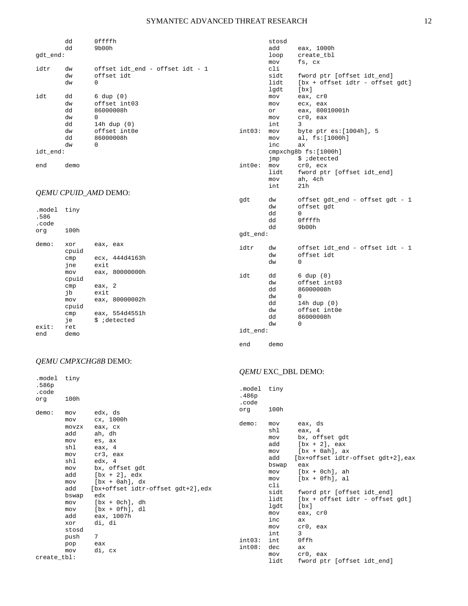stosd

cli<br>sidt

lgdt<br>mov

inc ax

int 3<br>int03: mov by

 $int0e:$  mov

eax, 1000h

eax, cr0

mov al, fs: [1000h]

 cmpxchg8b fs:[1000h] jmp \$ ;detected

fword ptr [offset idt\_end] lidt [bx + offset idtr - offset gdt]

byte ptr es: [1004h], 5

lidt fword ptr [offset idt\_end]

loop create\_tbl<br>mov fs, cx mov fs, cx

 mov ecx, eax or eax, 80010001h<br>mov cr0, eax cr0, eax

|                 | dd                                           | Offffh                                                                                                           |
|-----------------|----------------------------------------------|------------------------------------------------------------------------------------------------------------------|
| gdt_end:        | dd                                           | 9b00h                                                                                                            |
| idtr            | dw<br>dw<br>dw                               | offset idt_end - offset idt - 1<br>offset idt<br>$\Omega$                                                        |
| idt<br>idt end: | dd<br>dw<br>dd<br>dw<br>dd<br>dw<br>dd<br>dw | $6 \text{ dup } (0)$<br>offset int03<br>86000008h<br>$\Omega$<br>14h dup $(0)$<br>offset int0e<br>86000008h<br>0 |
| end             | demo                                         |                                                                                                                  |

|                                     |                                                               | QEMU CPUID_AMD DEMO:                                                                   |                 | mov<br>int                                   | ah, 4ch<br>21h                                                                                            |
|-------------------------------------|---------------------------------------------------------------|----------------------------------------------------------------------------------------|-----------------|----------------------------------------------|-----------------------------------------------------------------------------------------------------------|
| .model tiny<br>.586<br>.code<br>orq | 100h                                                          |                                                                                        | gdt<br>gdt_end: | dw<br>dw<br>dd<br>dd<br>dd                   | offset gdt_end - offset gdt - 1<br>offset gdt<br>$\Omega$<br>Offffh<br>9b00h                              |
| demo:                               | xor<br>cpuid<br>cmp<br>jne                                    | eax, eax<br>ecx, 444d4163h<br>exit                                                     | idtr            | dw<br>dw<br>dw                               | offset idt_end - offset idt - 1<br>offset idt<br>0                                                        |
| exist:                              | mov<br>cpuid<br>cmp<br>jb<br>mov<br>cpuid<br>cmp<br>je<br>ret | eax, 80000000h<br>eax, $2$<br>exit<br>eax, 80000002h<br>eax, 554d4551h<br>\$ ;detected | idt             | dd<br>dw<br>dd<br>dw<br>dd<br>dw<br>dd<br>dw | $6 \text{ dup } (0)$<br>offset int03<br>86000008h<br>0<br>14h dup $(0)$<br>offset int0e<br>86000008h<br>0 |
| end                                 | demo                                                          |                                                                                        | idt_end:        |                                              |                                                                                                           |

#### end demo

# *QEMU CMPXCHG8B* DEMO:

# *QEMU* EXC\_DBL DEMO:

| .model<br>.586p<br>.code<br>org | tiny<br>100h                                                                                                                                           |                                                                                                                                                                                                                                                                                   | .model<br>.486p<br>.code         | tiny                                                                                                                                                          |                                                                                                                                                                                                                                                                                                                                        |
|---------------------------------|--------------------------------------------------------------------------------------------------------------------------------------------------------|-----------------------------------------------------------------------------------------------------------------------------------------------------------------------------------------------------------------------------------------------------------------------------------|----------------------------------|---------------------------------------------------------------------------------------------------------------------------------------------------------------|----------------------------------------------------------------------------------------------------------------------------------------------------------------------------------------------------------------------------------------------------------------------------------------------------------------------------------------|
| demo:<br>create tbl:            | mov<br>mov<br>movzx<br>add<br>mov<br>shl<br>mov<br>shl<br>mov<br>add<br>mov<br>add<br>bswap<br>mov<br>mov<br>add<br>xor<br>stosd<br>push<br>pop<br>mov | edx, ds<br>cx, 1000h<br>eax, cx<br>ah, dh<br>es, ax<br>eax, $4$<br>cr3, eax<br>edx, 4<br>bx, offset gdt<br>$[bx + 2], edx$<br>$[bx + 0ah], dx$<br>[bx+offset idtr-offset gdt+2], edx<br>edx<br>$[bx + 0ch], dh$<br>$[bx + 0fh], dl$<br>eax, 1007h<br>di, di<br>7<br>eax<br>di, cx | org<br>demo:<br>int03:<br>int08: | 100h<br>mov<br>shl<br>mov<br>add<br>mov<br>add<br>bswap<br>mov<br>mov<br>cli<br>sidt<br>lidt<br>lgdt<br>mov<br>inc<br>mov<br>int<br>int<br>dec<br>mov<br>lidt | eax, ds<br>eax, 4<br>bx, offset gdt<br>$[bx + 2]$ , eax<br>$[bx + 0ah], ax$<br>[bx+offset idtr-offset gdt+2],eax<br>eax<br>$[bx + 0ch], ah$<br>$[bx + 0fh], al$<br>fword ptr [offset idt_end]<br>$[bx + offset idtr - offset qdt]$<br>[bx]<br>eax, cr0<br>ax<br>cr0, eax<br>3<br>0ffh<br>ax.<br>cr0, eax<br>fword ptr [offset idt_end] |